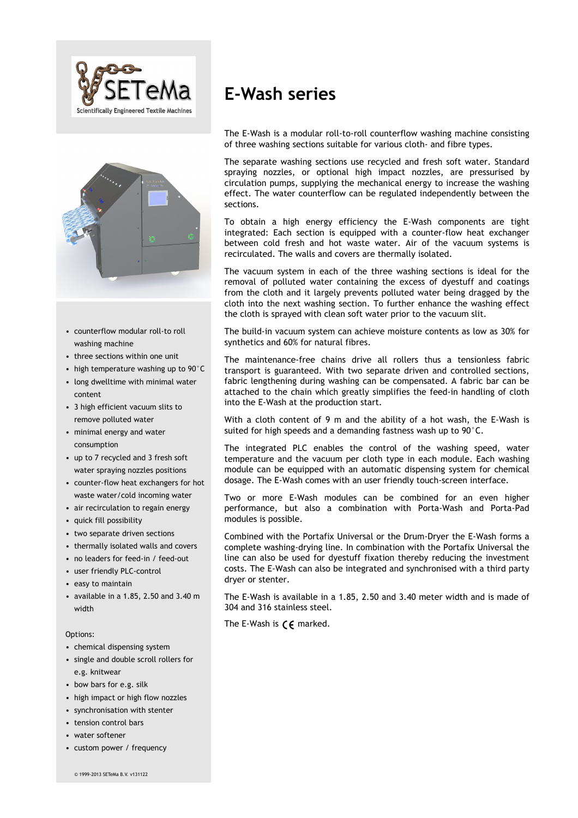



- counterflow modular roll-to roll washing machine
- three sections within one unit
- high temperature washing up to 90°C
- long dwelltime with minimal water content
- 3 high efficient vacuum slits to remove polluted water
- minimal energy and water consumption
- up to 7 recycled and 3 fresh soft water spraying nozzles positions
- counter-flow heat exchangers for hot waste water/cold incoming water
- air recirculation to regain energy
- quick fill possibility
- two separate driven sections
- thermally isolated walls and covers
- no leaders for feed-in / feed-out
- user friendly PLC-control
- easy to maintain
- available in a 1.85, 2.50 and 3.40 m width

Options:

- chemical dispensing system
- single and double scroll rollers for e.g. knitwear
- bow bars for e.g. silk
- high impact or high flow nozzles
- synchronisation with stenter
- tension control bars
- water softener
- custom power / frequency

# **E-Wash series**

The E-Wash is a modular roll-to-roll counterflow washing machine consisting of three washing sections suitable for various cloth- and fibre types.

The separate washing sections use recycled and fresh soft water. Standard spraying nozzles, or optional high impact nozzles, are pressurised by circulation pumps, supplying the mechanical energy to increase the washing effect. The water counterflow can be regulated independently between the sections.

To obtain a high energy efficiency the E-Wash components are tight integrated: Each section is equipped with a counter-flow heat exchanger between cold fresh and hot waste water. Air of the vacuum systems is recirculated. The walls and covers are thermally isolated.

The vacuum system in each of the three washing sections is ideal for the removal of polluted water containing the excess of dyestuff and coatings from the cloth and it largely prevents polluted water being dragged by the cloth into the next washing section. To further enhance the washing effect the cloth is sprayed with clean soft water prior to the vacuum slit.

The build-in vacuum system can achieve moisture contents as low as 30% for synthetics and 60% for natural fibres.

The maintenance-free chains drive all rollers thus a tensionless fabric transport is guaranteed. With two separate driven and controlled sections, fabric lengthening during washing can be compensated. A fabric bar can be attached to the chain which greatly simplifies the feed-in handling of cloth into the E-Wash at the production start.

With a cloth content of 9 m and the ability of a hot wash, the E-Wash is suited for high speeds and a demanding fastness wash up to 90°C.

The integrated PLC enables the control of the washing speed, water temperature and the vacuum per cloth type in each module. Each washing module can be equipped with an automatic dispensing system for chemical dosage. The E-Wash comes with an user friendly touch-screen interface.

Two or more E-Wash modules can be combined for an even higher performance, but also a combination with Porta-Wash and Porta-Pad modules is possible.

Combined with the Portafix Universal or the Drum-Dryer the E-Wash forms a complete washing-drying line. In combination with the Portafix Universal the line can also be used for dyestuff fixation thereby reducing the investment costs. The E-Wash can also be integrated and synchronised with a third party dryer or stenter.

The E-Wash is available in a 1.85, 2.50 and 3.40 meter width and is made of 304 and 316 stainless steel.

The E-Wash is  $\zeta \in \mathbb{R}$  marked.